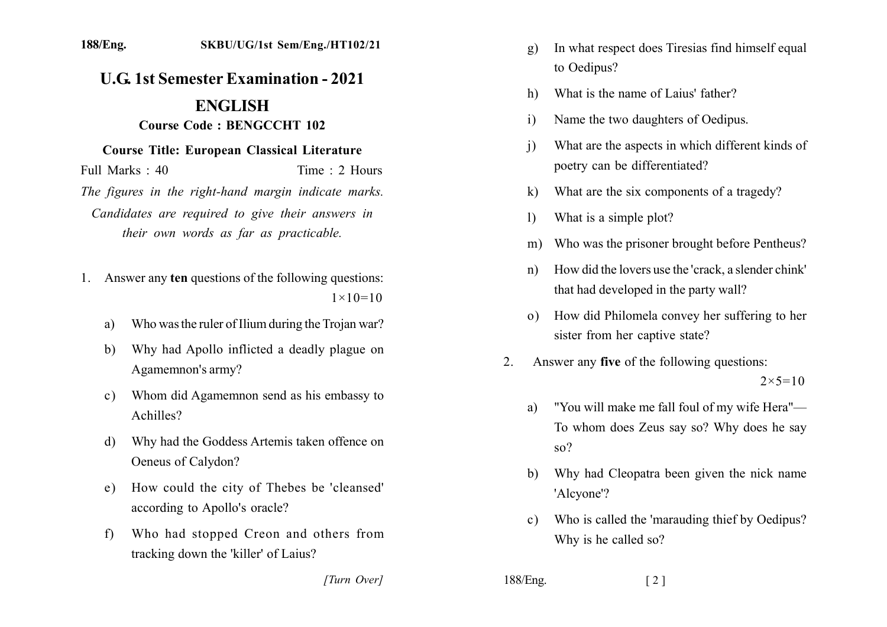## **U.G. 1st Semester Examination - 2021 ENGLISH**

## Course Code: BENGCCHT 102

## **Course Title: European Classical Literature**

Full Marks  $\cdot$  40 Time  $\cdot$  2 Hours

The figures in the right-hand margin indicate marks. Candidates are required to give their answers in their own words as far as practicable.

- 1. Answer any ten questions of the following questions:  $1 \times 10 = 10$ 
	- Who was the ruler of Ilium during the Trojan war? a)
	- Why had Apollo inflicted a deadly plague on b) Agamemnon's army?
	- Whom did Agamemnon send as his embassy to  $c)$ Achilles?
	- Why had the Goddess Artemis taken offence on  $\mathbf{d}$ Oeneus of Calydon?
	- How could the city of Thebes be 'cleansed' e) according to Apollo's oracle?
	- Who had stopped Creon and others from  $f$ tracking down the 'killer' of Laius?
- In what respect does Tiresias find himself equal  $\mathbf{q}$ to Oedipus?
- What is the name of Laius' father?  $h)$
- Name the two daughters of Oedipus.  $\overline{1}$
- What are the aspects in which different kinds of  $\mathbf{i}$ poetry can be differentiated?
- What are the six components of a tragedy?  $\bf k$
- What is a simple plot?  $\left| \right\rangle$
- Who was the prisoner brought before Pentheus?  $m)$
- How did the lovers use the 'crack, a slender chink'  $n)$ that had developed in the party wall?
- o) How did Philomela convey her suffering to her sister from her captive state?
- $\overline{2}$ . Answer any five of the following questions:  $2 \times 5 = 10$ 
	- "You will make me fall foul of my wife Hera" a) To whom does Zeus say so? Why does he say  $so?$
	- Why had Cleopatra been given the nick name b) 'Alcyone'?
	- Who is called the 'marauding thief by Oedipus?  $c)$ Why is he called so?

 $\lceil 2 \rceil$ 

[Turn Over]

188/Eng.